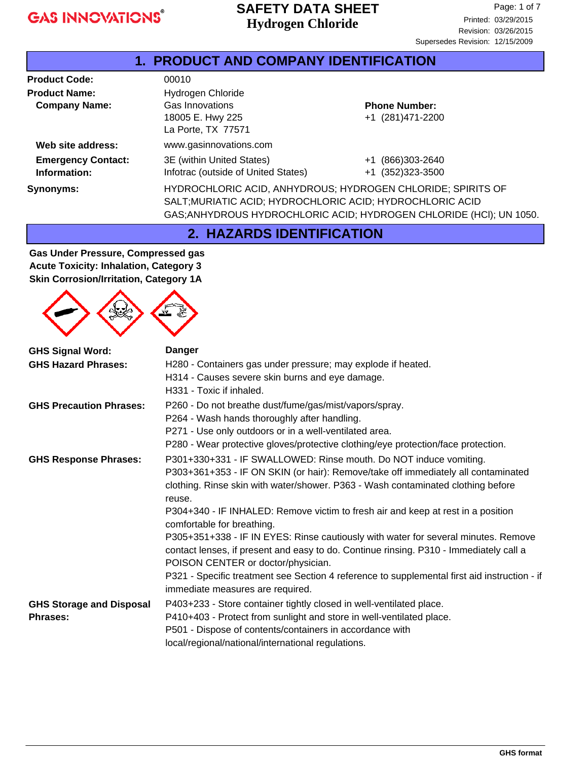### **Hydrogen Chloride SAFETY DATA SHEET**

| 1. PRODUCT AND COMPANY IDENTIFICATION |                                                                                                                                  |                       |  |
|---------------------------------------|----------------------------------------------------------------------------------------------------------------------------------|-----------------------|--|
| <b>Product Code:</b>                  | 00010                                                                                                                            |                       |  |
| <b>Product Name:</b>                  | Hydrogen Chloride                                                                                                                |                       |  |
| <b>Company Name:</b>                  | Gas Innovations                                                                                                                  | <b>Phone Number:</b>  |  |
|                                       | 18005 E. Hwy 225                                                                                                                 | +1 (281)471-2200      |  |
|                                       | La Porte, TX 77571                                                                                                               |                       |  |
| Web site address:                     | www.gasinnovations.com                                                                                                           |                       |  |
| <b>Emergency Contact:</b>             | 3E (within United States)                                                                                                        | (866)303-2640<br>$+1$ |  |
| Information:                          | Infotrac (outside of United States)                                                                                              | +1 (352)323-3500      |  |
| Synonyms:                             | HYDROCHLORIC ACID, ANHYDROUS; HYDROGEN CHLORIDE; SPIRITS OF                                                                      |                       |  |
|                                       |                                                                                                                                  |                       |  |
|                                       |                                                                                                                                  |                       |  |
|                                       | SALT; MURIATIC ACID; HYDROCHLORIC ACID; HYDROCHLORIC ACID<br>GAS; ANHYDROUS HYDROCHLORIC ACID; HYDROGEN CHLORIDE (HCI); UN 1050. |                       |  |

**2. HAZARDS IDENTIFICATION**

**Gas Under Pressure, Compressed gas Acute Toxicity: Inhalation, Category 3 Skin Corrosion/Irritation, Category 1A**



| <b>GHS Signal Word:</b>                            | <b>Danger</b>                                                                                                                                                                                                                                                                                                                                                                                                                                                                                                                                                                                                                                                                                                                    |  |  |
|----------------------------------------------------|----------------------------------------------------------------------------------------------------------------------------------------------------------------------------------------------------------------------------------------------------------------------------------------------------------------------------------------------------------------------------------------------------------------------------------------------------------------------------------------------------------------------------------------------------------------------------------------------------------------------------------------------------------------------------------------------------------------------------------|--|--|
| <b>GHS Hazard Phrases:</b>                         | H280 - Containers gas under pressure; may explode if heated.<br>H314 - Causes severe skin burns and eye damage.<br>H331 - Toxic if inhaled.                                                                                                                                                                                                                                                                                                                                                                                                                                                                                                                                                                                      |  |  |
| <b>GHS Precaution Phrases:</b>                     | P260 - Do not breathe dust/fume/gas/mist/vapors/spray.<br>P264 - Wash hands thoroughly after handling.<br>P271 - Use only outdoors or in a well-ventilated area.<br>P280 - Wear protective gloves/protective clothing/eye protection/face protection.                                                                                                                                                                                                                                                                                                                                                                                                                                                                            |  |  |
| <b>GHS Response Phrases:</b>                       | P301+330+331 - IF SWALLOWED: Rinse mouth. Do NOT induce vomiting.<br>P303+361+353 - IF ON SKIN (or hair): Remove/take off immediately all contaminated<br>clothing. Rinse skin with water/shower. P363 - Wash contaminated clothing before<br>reuse.<br>P304+340 - IF INHALED: Remove victim to fresh air and keep at rest in a position<br>comfortable for breathing.<br>P305+351+338 - IF IN EYES: Rinse cautiously with water for several minutes. Remove<br>contact lenses, if present and easy to do. Continue rinsing. P310 - Immediately call a<br>POISON CENTER or doctor/physician.<br>P321 - Specific treatment see Section 4 reference to supplemental first aid instruction - if<br>immediate measures are required. |  |  |
| <b>GHS Storage and Disposal</b><br><b>Phrases:</b> | P403+233 - Store container tightly closed in well-ventilated place.<br>P410+403 - Protect from sunlight and store in well-ventilated place.<br>P501 - Dispose of contents/containers in accordance with<br>local/regional/national/international regulations.                                                                                                                                                                                                                                                                                                                                                                                                                                                                    |  |  |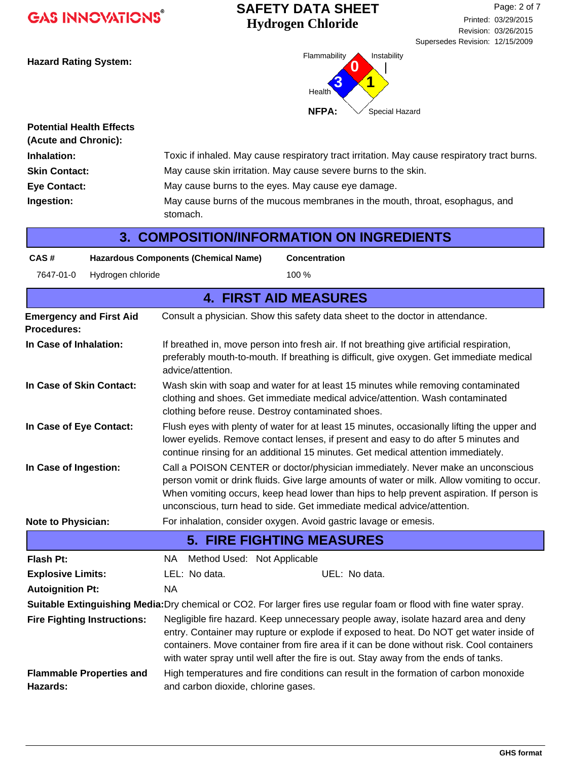## **Hydrogen Chloride SAFETY DATA SHEET**



| <b>Potential Health Effects</b><br>(Acute and Chronic): |                                                                                              |
|---------------------------------------------------------|----------------------------------------------------------------------------------------------|
| Inhalation:                                             | Toxic if inhaled. May cause respiratory tract irritation. May cause respiratory tract burns. |
| <b>Skin Contact:</b>                                    | May cause skin irritation. May cause severe burns to the skin.                               |
| <b>Eye Contact:</b>                                     | May cause burns to the eyes. May cause eye damage.                                           |
| Ingestion:                                              | May cause burns of the mucous membranes in the mouth, throat, esophagus, and<br>stomach.     |

| CAS#                                                                                                                 |                                    | <b>Hazardous Components (Chemical Name)</b><br><b>Concentration</b>                                                                                                                                                                                                                                                                                               |  |  |
|----------------------------------------------------------------------------------------------------------------------|------------------------------------|-------------------------------------------------------------------------------------------------------------------------------------------------------------------------------------------------------------------------------------------------------------------------------------------------------------------------------------------------------------------|--|--|
| 7647-01-0                                                                                                            | Hydrogen chloride                  | 100 %                                                                                                                                                                                                                                                                                                                                                             |  |  |
|                                                                                                                      |                                    | <b>4. FIRST AID MEASURES</b>                                                                                                                                                                                                                                                                                                                                      |  |  |
| <b>Emergency and First Aid</b><br><b>Procedures:</b>                                                                 |                                    | Consult a physician. Show this safety data sheet to the doctor in attendance.                                                                                                                                                                                                                                                                                     |  |  |
| In Case of Inhalation:                                                                                               |                                    | If breathed in, move person into fresh air. If not breathing give artificial respiration,<br>preferably mouth-to-mouth. If breathing is difficult, give oxygen. Get immediate medical<br>advice/attention.                                                                                                                                                        |  |  |
| In Case of Skin Contact:                                                                                             |                                    | Wash skin with soap and water for at least 15 minutes while removing contaminated<br>clothing and shoes. Get immediate medical advice/attention. Wash contaminated<br>clothing before reuse. Destroy contaminated shoes.                                                                                                                                          |  |  |
| In Case of Eye Contact:                                                                                              |                                    | Flush eyes with plenty of water for at least 15 minutes, occasionally lifting the upper and<br>lower eyelids. Remove contact lenses, if present and easy to do after 5 minutes and<br>continue rinsing for an additional 15 minutes. Get medical attention immediately.                                                                                           |  |  |
| In Case of Ingestion:                                                                                                |                                    | Call a POISON CENTER or doctor/physician immediately. Never make an unconscious<br>person vomit or drink fluids. Give large amounts of water or milk. Allow vomiting to occur.<br>When vomiting occurs, keep head lower than hips to help prevent aspiration. If person is<br>unconscious, turn head to side. Get immediate medical advice/attention.             |  |  |
| Note to Physician:                                                                                                   |                                    | For inhalation, consider oxygen. Avoid gastric lavage or emesis.                                                                                                                                                                                                                                                                                                  |  |  |
|                                                                                                                      |                                    | <b>5. FIRE FIGHTING MEASURES</b>                                                                                                                                                                                                                                                                                                                                  |  |  |
| <b>Flash Pt:</b>                                                                                                     |                                    | Method Used: Not Applicable<br>NA.                                                                                                                                                                                                                                                                                                                                |  |  |
| <b>Explosive Limits:</b>                                                                                             |                                    | LEL: No data.<br>UEL: No data.                                                                                                                                                                                                                                                                                                                                    |  |  |
| <b>NA</b><br><b>Autoignition Pt:</b>                                                                                 |                                    |                                                                                                                                                                                                                                                                                                                                                                   |  |  |
| Suitable Extinguishing Media: Dry chemical or CO2. For larger fires use regular foam or flood with fine water spray. |                                    |                                                                                                                                                                                                                                                                                                                                                                   |  |  |
|                                                                                                                      | <b>Fire Fighting Instructions:</b> | Negligible fire hazard. Keep unnecessary people away, isolate hazard area and deny<br>entry. Container may rupture or explode if exposed to heat. Do NOT get water inside of<br>containers. Move container from fire area if it can be done without risk. Cool containers<br>with water spray until well after the fire is out. Stay away from the ends of tanks. |  |  |
| Hazards:                                                                                                             | <b>Flammable Properties and</b>    | High temperatures and fire conditions can result in the formation of carbon monoxide<br>and carbon dioxide, chlorine gases.                                                                                                                                                                                                                                       |  |  |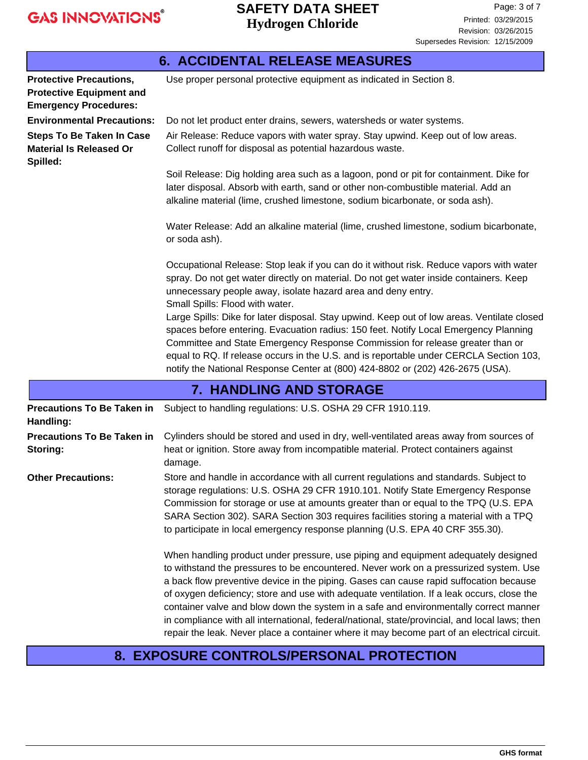|                                                                                                   | <b>6. ACCIDENTAL RELEASE MEASURES</b>                                                                                                                                                                                                                                                                                                                                                                                                            |  |  |
|---------------------------------------------------------------------------------------------------|--------------------------------------------------------------------------------------------------------------------------------------------------------------------------------------------------------------------------------------------------------------------------------------------------------------------------------------------------------------------------------------------------------------------------------------------------|--|--|
| <b>Protective Precautions,</b><br><b>Protective Equipment and</b><br><b>Emergency Procedures:</b> | Use proper personal protective equipment as indicated in Section 8.                                                                                                                                                                                                                                                                                                                                                                              |  |  |
| <b>Environmental Precautions:</b>                                                                 | Do not let product enter drains, sewers, watersheds or water systems.                                                                                                                                                                                                                                                                                                                                                                            |  |  |
| <b>Steps To Be Taken In Case</b><br><b>Material Is Released Or</b><br>Spilled:                    | Air Release: Reduce vapors with water spray. Stay upwind. Keep out of low areas.<br>Collect runoff for disposal as potential hazardous waste.                                                                                                                                                                                                                                                                                                    |  |  |
|                                                                                                   | Soil Release: Dig holding area such as a lagoon, pond or pit for containment. Dike for<br>later disposal. Absorb with earth, sand or other non-combustible material. Add an<br>alkaline material (lime, crushed limestone, sodium bicarbonate, or soda ash).                                                                                                                                                                                     |  |  |
|                                                                                                   | Water Release: Add an alkaline material (lime, crushed limestone, sodium bicarbonate,<br>or soda ash).                                                                                                                                                                                                                                                                                                                                           |  |  |
|                                                                                                   | Occupational Release: Stop leak if you can do it without risk. Reduce vapors with water<br>spray. Do not get water directly on material. Do not get water inside containers. Keep<br>unnecessary people away, isolate hazard area and deny entry.<br>Small Spills: Flood with water.                                                                                                                                                             |  |  |
|                                                                                                   | Large Spills: Dike for later disposal. Stay upwind. Keep out of low areas. Ventilate closed<br>spaces before entering. Evacuation radius: 150 feet. Notify Local Emergency Planning<br>Committee and State Emergency Response Commission for release greater than or<br>equal to RQ. If release occurs in the U.S. and is reportable under CERCLA Section 103,<br>notify the National Response Center at (800) 424-8802 or (202) 426-2675 (USA). |  |  |
|                                                                                                   | <b>7. HANDLING AND STORAGE</b>                                                                                                                                                                                                                                                                                                                                                                                                                   |  |  |
| <b>Precautions To Be Taken in</b><br>Handling:                                                    | Subject to handling regulations: U.S. OSHA 29 CFR 1910.119.                                                                                                                                                                                                                                                                                                                                                                                      |  |  |
| <b>Precautions To Be Taken in</b><br>Storing:                                                     | Cylinders should be stored and used in dry, well-ventilated areas away from sources of<br>heat or ignition. Store away from incompatible material. Protect containers against<br>damage.                                                                                                                                                                                                                                                         |  |  |
| <b>Other Precautions:</b>                                                                         | Store and handle in accordance with all current regulations and standards. Subject to<br>storage regulations: U.S. OSHA 29 CFR 1910.101. Notify State Emergency Response<br>Commission for storage or use at amounts greater than or equal to the TPQ (U.S. EPA<br>SARA Section 302). SARA Section 303 requires facilities storing a material with a TPQ<br>to participate in local emergency response planning (U.S. EPA 40 CRF 355.30).        |  |  |

When handling product under pressure, use piping and equipment adequately designed to withstand the pressures to be encountered. Never work on a pressurized system. Use a back flow preventive device in the piping. Gases can cause rapid suffocation because of oxygen deficiency; store and use with adequate ventilation. If a leak occurs, close the container valve and blow down the system in a safe and environmentally correct manner in compliance with all international, federal/national, state/provincial, and local laws; then repair the leak. Never place a container where it may become part of an electrical circuit.

### **8. EXPOSURE CONTROLS/PERSONAL PROTECTION**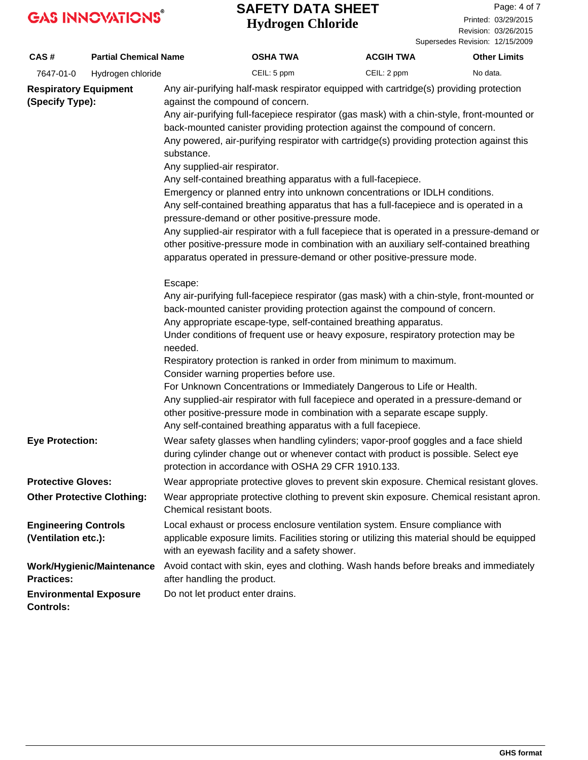#### **Hydrogen Chloride SAFETY DATA SHEET**

Revision: 03/26/2015 Printed: 03/29/2015 Page: 4 of 7

Supersedes Revision: 12/15/2009 **CAS # Partial Chemical Name OSHA TWA ACGIH TWA Other Limits** 7647-01-0 Hydrogen chloride CEIL: 5 ppm CEIL: 2 ppm No data. Any air-purifying half-mask respirator equipped with cartridge(s) providing protection against the compound of concern. Any air-purifying full-facepiece respirator (gas mask) with a chin-style, front-mounted or back-mounted canister providing protection against the compound of concern. Any powered, air-purifying respirator with cartridge(s) providing protection against this substance. Any supplied-air respirator. Any self-contained breathing apparatus with a full-facepiece. Emergency or planned entry into unknown concentrations or IDLH conditions. Any self-contained breathing apparatus that has a full-facepiece and is operated in a pressure-demand or other positive-pressure mode. Any supplied-air respirator with a full facepiece that is operated in a pressure-demand or other positive-pressure mode in combination with an auxiliary self-contained breathing apparatus operated in pressure-demand or other positive-pressure mode. Escape: Any air-purifying full-facepiece respirator (gas mask) with a chin-style, front-mounted or back-mounted canister providing protection against the compound of concern. Any appropriate escape-type, self-contained breathing apparatus. Under conditions of frequent use or heavy exposure, respiratory protection may be needed. Respiratory protection is ranked in order from minimum to maximum. Consider warning properties before use. For Unknown Concentrations or Immediately Dangerous to Life or Health. Any supplied-air respirator with full facepiece and operated in a pressure-demand or other positive-pressure mode in combination with a separate escape supply. Any self-contained breathing apparatus with a full facepiece. **Respiratory Equipment (Specify Type):** Wear safety glasses when handling cylinders; vapor-proof goggles and a face shield during cylinder change out or whenever contact with product is possible. Select eye protection in accordance with OSHA 29 CFR 1910.133. **Eye Protection: Protective Gloves:** Wear appropriate protective gloves to prevent skin exposure. Chemical resistant gloves. Wear appropriate protective clothing to prevent skin exposure. Chemical resistant apron. Chemical resistant boots. **Other Protective Clothing:** Local exhaust or process enclosure ventilation system. Ensure compliance with applicable exposure limits. Facilities storing or utilizing this material should be equipped with an eyewash facility and a safety shower. **Engineering Controls (Ventilation etc.): Environmental Exposure** Do not let product enter drains. **Controls:** Avoid contact with skin, eyes and clothing. Wash hands before breaks and immediately after handling the product. **Work/Hygienic/Maintenance Practices:**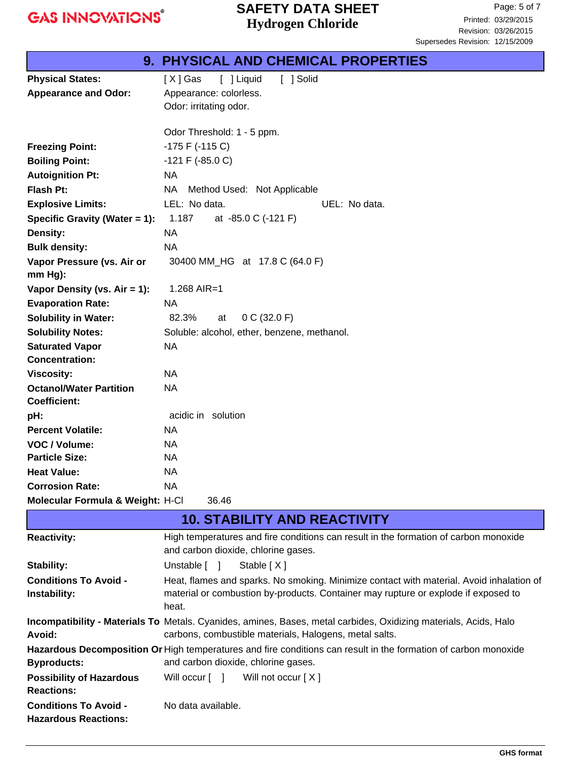## **Hydrogen Chloride SAFETY DATA SHEET**

|                                  | 9. PHYSICAL AND CHEMICAL PROPERTIES         |  |  |
|----------------------------------|---------------------------------------------|--|--|
| <b>Physical States:</b>          | [ ] Solid<br>[X] Gas<br>[ ] Liquid          |  |  |
| <b>Appearance and Odor:</b>      | Appearance: colorless.                      |  |  |
|                                  | Odor: irritating odor.                      |  |  |
|                                  |                                             |  |  |
|                                  | Odor Threshold: 1 - 5 ppm.                  |  |  |
| <b>Freezing Point:</b>           | $-175$ F ( $-115$ C)                        |  |  |
| <b>Boiling Point:</b>            | $-121$ F ( $-85.0$ C)                       |  |  |
| <b>Autoignition Pt:</b>          | <b>NA</b>                                   |  |  |
| <b>Flash Pt:</b>                 | NA.<br>Method Used: Not Applicable          |  |  |
| <b>Explosive Limits:</b>         | LEL: No data.<br>UEL: No data.              |  |  |
| Specific Gravity (Water = 1):    | 1.187<br>at -85.0 C (-121 F)                |  |  |
| Density:                         | NA.                                         |  |  |
| <b>Bulk density:</b>             | <b>NA</b>                                   |  |  |
| Vapor Pressure (vs. Air or       | 30400 MM_HG at 17.8 C (64.0 F)              |  |  |
| $mm Hg$ :                        |                                             |  |  |
| Vapor Density (vs. Air = 1):     | 1.268 AIR=1                                 |  |  |
| <b>Evaporation Rate:</b>         | <b>NA</b>                                   |  |  |
| <b>Solubility in Water:</b>      | 82.3%<br>0 C (32.0 F)<br>at                 |  |  |
| <b>Solubility Notes:</b>         | Soluble: alcohol, ether, benzene, methanol. |  |  |
| <b>Saturated Vapor</b>           | <b>NA</b>                                   |  |  |
| <b>Concentration:</b>            |                                             |  |  |
| <b>Viscosity:</b>                | <b>NA</b>                                   |  |  |
| <b>Octanol/Water Partition</b>   | <b>NA</b>                                   |  |  |
| <b>Coefficient:</b>              |                                             |  |  |
| pH:                              | acidic in solution                          |  |  |
| <b>Percent Volatile:</b>         | NA.                                         |  |  |
| VOC / Volume:                    | <b>NA</b>                                   |  |  |
| <b>Particle Size:</b>            | <b>NA</b>                                   |  |  |
| <b>Heat Value:</b>               | <b>NA</b>                                   |  |  |
| <b>Corrosion Rate:</b>           | NA.                                         |  |  |
| Molecular Formula & Weight: H-Cl | 36.46                                       |  |  |

|                                                             | <b>10. STABILITY AND REACTIVITY</b>                                                                                                                                                     |  |  |
|-------------------------------------------------------------|-----------------------------------------------------------------------------------------------------------------------------------------------------------------------------------------|--|--|
| <b>Reactivity:</b>                                          | High temperatures and fire conditions can result in the formation of carbon monoxide<br>and carbon dioxide, chlorine gases.                                                             |  |  |
| <b>Stability:</b>                                           | Unstable [ ]<br>Stable [X]                                                                                                                                                              |  |  |
| <b>Conditions To Avoid -</b><br>Instability:                | Heat, flames and sparks. No smoking. Minimize contact with material. Avoid inhalation of<br>material or combustion by-products. Container may rupture or explode if exposed to<br>heat. |  |  |
| Avoid:                                                      | Incompatibility - Materials To Metals. Cyanides, amines, Bases, metal carbides, Oxidizing materials, Acids, Halo<br>carbons, combustible materials, Halogens, metal salts.              |  |  |
|                                                             | Hazardous Decomposition Or High temperatures and fire conditions can result in the formation of carbon monoxide                                                                         |  |  |
| <b>Byproducts:</b>                                          | and carbon dioxide, chlorine gases.                                                                                                                                                     |  |  |
| <b>Possibility of Hazardous</b><br><b>Reactions:</b>        | Will occur [ ] Will not occur [X]                                                                                                                                                       |  |  |
| <b>Conditions To Avoid -</b><br><b>Hazardous Reactions:</b> | No data available.                                                                                                                                                                      |  |  |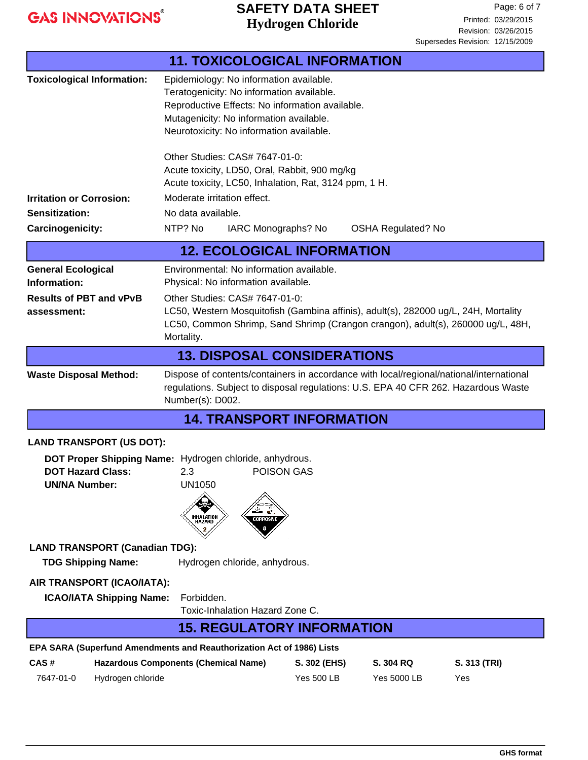## **Hydrogen Chloride SAFETY DATA SHEET**

| <b>11. TOXICOLOGICAL INFORMATION</b>                                                                                                                                                                                               |                                                                                                                                                                                                                                |                   |                           |              |
|------------------------------------------------------------------------------------------------------------------------------------------------------------------------------------------------------------------------------------|--------------------------------------------------------------------------------------------------------------------------------------------------------------------------------------------------------------------------------|-------------------|---------------------------|--------------|
| <b>Toxicological Information:</b>                                                                                                                                                                                                  | Epidemiology: No information available.<br>Teratogenicity: No information available.<br>Reproductive Effects: No information available.<br>Mutagenicity: No information available.<br>Neurotoxicity: No information available. |                   |                           |              |
|                                                                                                                                                                                                                                    | Other Studies: CAS# 7647-01-0:<br>Acute toxicity, LD50, Oral, Rabbit, 900 mg/kg<br>Acute toxicity, LC50, Inhalation, Rat, 3124 ppm, 1 H.                                                                                       |                   |                           |              |
| <b>Irritation or Corrosion:</b>                                                                                                                                                                                                    | Moderate irritation effect.                                                                                                                                                                                                    |                   |                           |              |
| <b>Sensitization:</b>                                                                                                                                                                                                              | No data available.                                                                                                                                                                                                             |                   |                           |              |
| <b>Carcinogenicity:</b>                                                                                                                                                                                                            | NTP? No<br>IARC Monographs? No                                                                                                                                                                                                 |                   | <b>OSHA Regulated? No</b> |              |
|                                                                                                                                                                                                                                    | <b>12. ECOLOGICAL INFORMATION</b>                                                                                                                                                                                              |                   |                           |              |
| <b>General Ecological</b><br>Information:                                                                                                                                                                                          | Environmental: No information available.<br>Physical: No information available.                                                                                                                                                |                   |                           |              |
| <b>Results of PBT and vPvB</b><br>assessment:                                                                                                                                                                                      | Other Studies: CAS# 7647-01-0:<br>LC50, Western Mosquitofish (Gambina affinis), adult(s), 282000 ug/L, 24H, Mortality<br>LC50, Common Shrimp, Sand Shrimp (Crangon crangon), adult(s), 260000 ug/L, 48H,<br>Mortality.         |                   |                           |              |
| <b>13. DISPOSAL CONSIDERATIONS</b>                                                                                                                                                                                                 |                                                                                                                                                                                                                                |                   |                           |              |
| Dispose of contents/containers in accordance with local/regional/national/international<br><b>Waste Disposal Method:</b><br>regulations. Subject to disposal regulations: U.S. EPA 40 CFR 262. Hazardous Waste<br>Number(s): D002. |                                                                                                                                                                                                                                |                   |                           |              |
|                                                                                                                                                                                                                                    | <b>14. TRANSPORT INFORMATION</b>                                                                                                                                                                                               |                   |                           |              |
| <b>LAND TRANSPORT (US DOT):</b>                                                                                                                                                                                                    |                                                                                                                                                                                                                                |                   |                           |              |
| DOT Proper Shipping Name: Hydrogen chloride, anhydrous.<br>POISON GAS<br><b>DOT Hazard Class:</b><br>2.3<br><b>UN1050</b><br><b>UN/NA Number:</b><br>INHALATION<br>\HAZARD<br>CORROSIVE                                            |                                                                                                                                                                                                                                |                   |                           |              |
| <b>LAND TRANSPORT (Canadian TDG):</b>                                                                                                                                                                                              |                                                                                                                                                                                                                                |                   |                           |              |
| <b>TDG Shipping Name:</b>                                                                                                                                                                                                          | Hydrogen chloride, anhydrous.                                                                                                                                                                                                  |                   |                           |              |
| AIR TRANSPORT (ICAO/IATA):<br><b>ICAO/IATA Shipping Name:</b><br>Forbidden.<br>Toxic-Inhalation Hazard Zone C.                                                                                                                     |                                                                                                                                                                                                                                |                   |                           |              |
|                                                                                                                                                                                                                                    | <b>15. REGULATORY INFORMATION</b>                                                                                                                                                                                              |                   |                           |              |
| EPA SARA (Superfund Amendments and Reauthorization Act of 1986) Lists                                                                                                                                                              |                                                                                                                                                                                                                                |                   |                           |              |
| CAS#                                                                                                                                                                                                                               | <b>Hazardous Components (Chemical Name)</b>                                                                                                                                                                                    | S. 302 (EHS)      | S. 304 RQ                 | S. 313 (TRI) |
| Hydrogen chloride<br>7647-01-0                                                                                                                                                                                                     |                                                                                                                                                                                                                                | <b>Yes 500 LB</b> | Yes 5000 LB               | Yes          |
|                                                                                                                                                                                                                                    |                                                                                                                                                                                                                                |                   |                           |              |